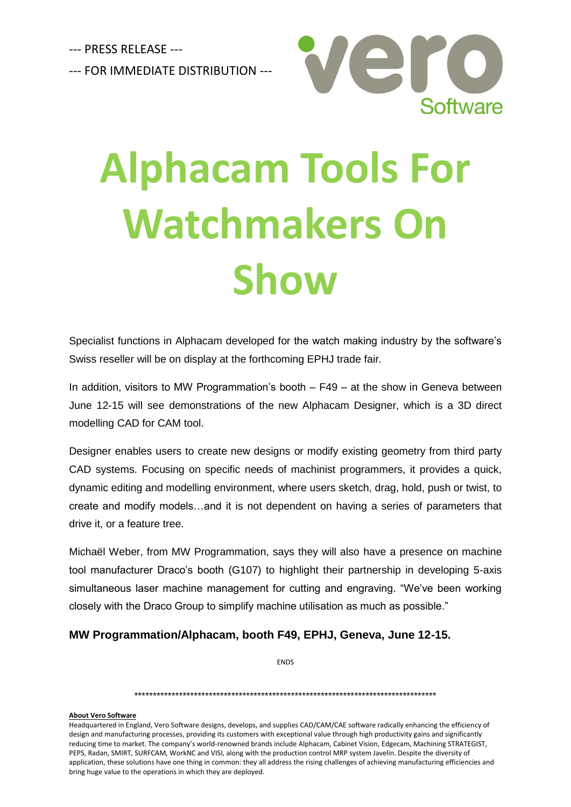--- PRESS RELEASE --- --- FOR IMMEDIATE DISTRIBUTION ---



## **Alphacam Tools For Watchmakers On Show**

Specialist functions in Alphacam developed for the watch making industry by the software's Swiss reseller will be on display at the forthcoming EPHJ trade fair.

In addition, visitors to MW Programmation's booth – F49 – at the show in Geneva between June 12-15 will see demonstrations of the new Alphacam Designer, which is a 3D direct modelling CAD for CAM tool.

Designer enables users to create new designs or modify existing geometry from third party CAD systems. Focusing on specific needs of machinist programmers, it provides a quick, dynamic editing and modelling environment, where users sketch, drag, hold, push or twist, to create and modify models…and it is not dependent on having a series of parameters that drive it, or a feature tree.

Michaël Weber, from MW Programmation, says they will also have a presence on machine tool manufacturer Draco's booth (G107) to highlight their partnership in developing 5-axis simultaneous laser machine management for cutting and engraving. "We've been working closely with the Draco Group to simplify machine utilisation as much as possible."

## **MW Programmation/Alphacam, booth F49, EPHJ, Geneva, June 12-15.**

ENDS

\*\*\*\*\*\*\*\*\*\*\*\*\*\*\*\*\*\*\*\*\*\*\*\*\*\*\*\*\*\*\*\*\*\*\*\*\*\*\*\*\*\*\*\*\*\*\*\*\*\*\*\*\*\*\*\*\*\*\*\*\*\*\*\*\*\*\*\*\*\*\*\*\*\*\*\*\*\*\*\*\*

## **About Vero Software**

Headquartered in England, Vero Software designs, develops, and supplies CAD/CAM/CAE software radically enhancing the efficiency of design and manufacturing processes, providing its customers with exceptional value through high productivity gains and significantly reducing time to market. The company's world-renowned brands include Alphacam, Cabinet Vision, Edgecam, Machining STRATEGIST, PEPS, Radan, SMIRT, SURFCAM, WorkNC and VISI, along with the production control MRP system Javelin. Despite the diversity of application, these solutions have one thing in common: they all address the rising challenges of achieving manufacturing efficiencies and bring huge value to the operations in which they are deployed.